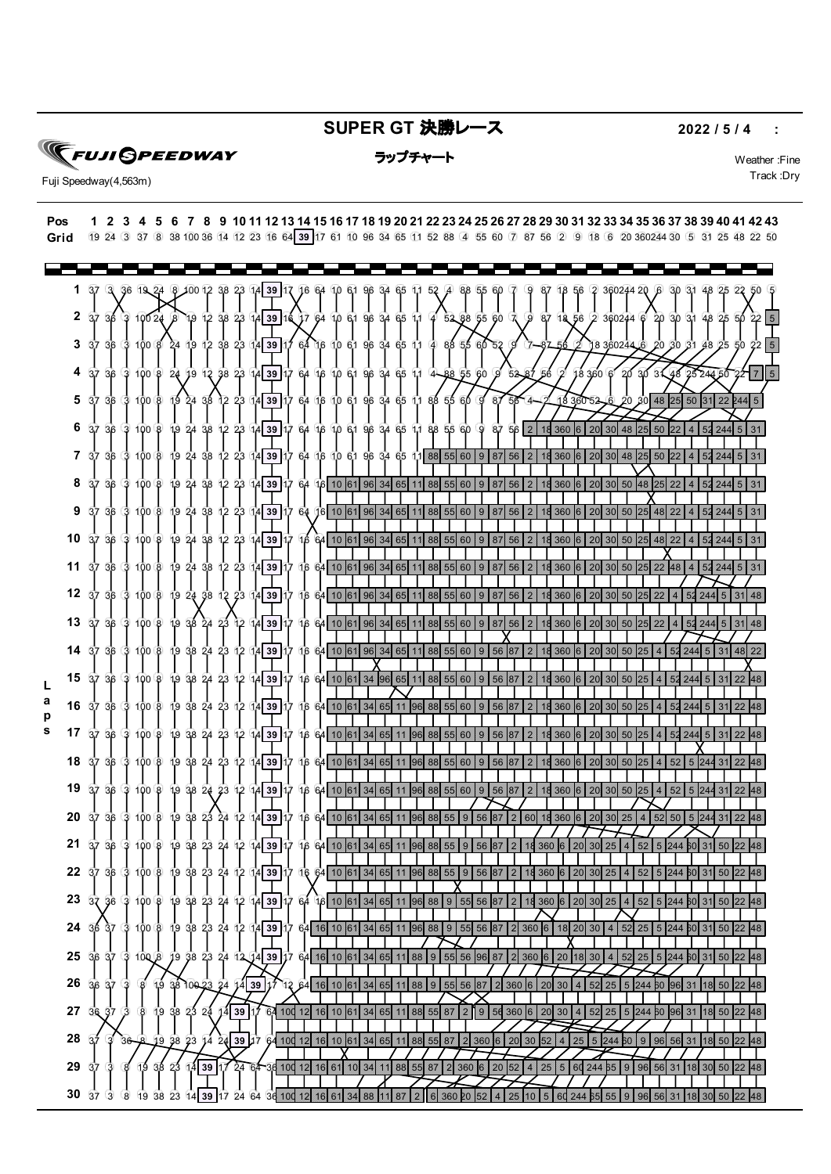## **SUPER GT 決勝レース** 2022/5/4 :

**FUJI GPEEDWAY** 

ラップチャート Weather :Fine

Track :Dry Fuji Speedway(4,563m)

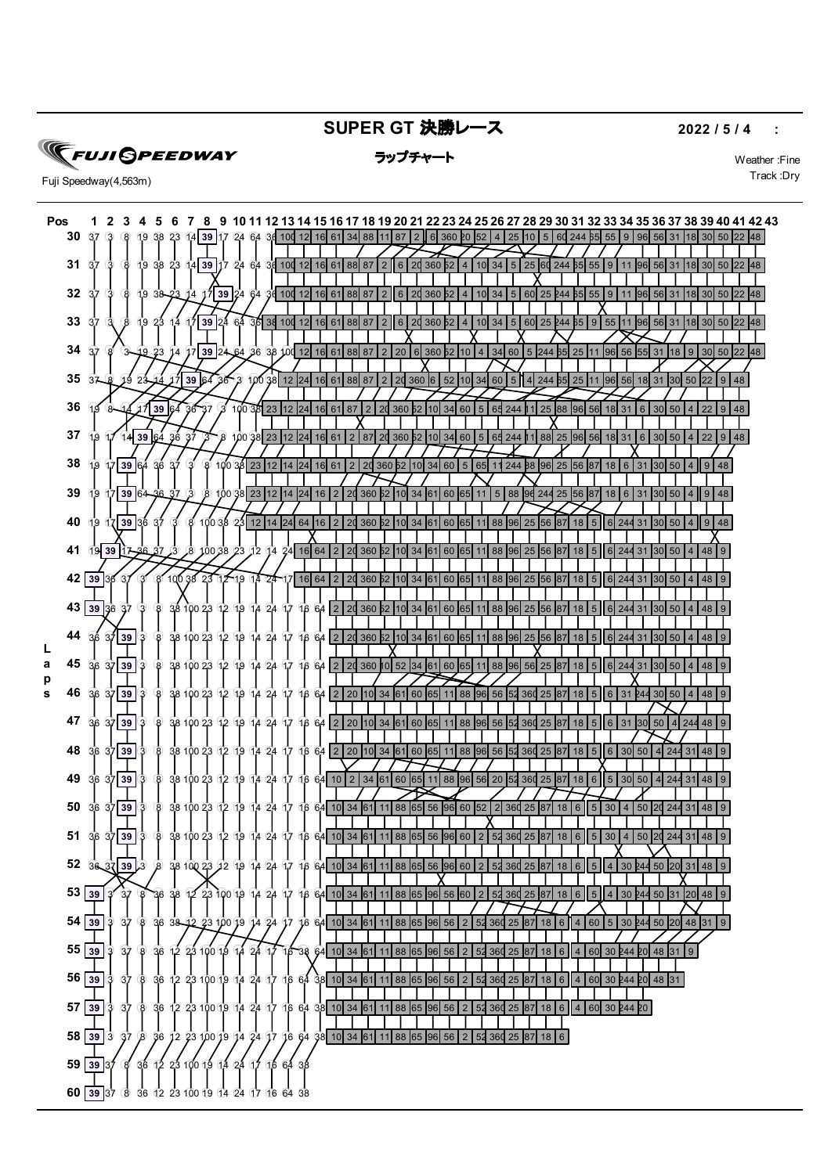**SUPER GT 決勝レース** 2022 / 5 / 4 :

**FUJI GPEEDWAY** 



ラップチャート Weather :Fine